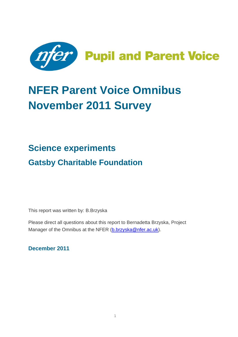

# **NFER Parent Voice Omnibus November 2011 Survey**

## **Science experiments Gatsby Charitable Foundation**

This report was written by: B.Brzyska

Please direct all questions about this report to Bernadetta Brzyska, Project Manager of the Omnibus at the NFER [\(b.brzyska@nfer.ac.uk\)](mailto:b.brzyska@nfer.ac.uk).

**December 2011**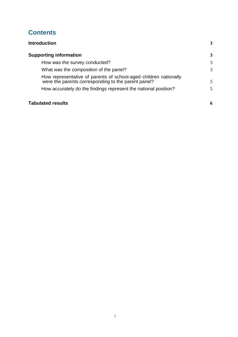## **Contents**

| <b>Introduction</b>                                                                                                     | 3            |
|-------------------------------------------------------------------------------------------------------------------------|--------------|
| <b>Supporting information</b>                                                                                           | $\mathbf{3}$ |
| How was the survey conducted?                                                                                           | 3            |
| What was the composition of the panel?                                                                                  | 3            |
| How representative of parents of school-aged children nationally<br>were the parents corresponding to the parent panel? | 5            |
| How accurately do the findings represent the national position?                                                         | 5            |
| <b>Tabulated results</b>                                                                                                | 6            |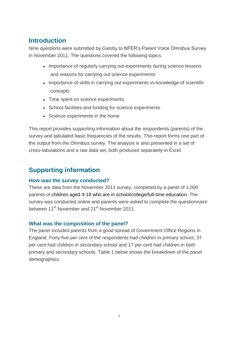## <span id="page-2-0"></span>**Introduction**

Nine questions were submitted by Gatsby to NFER's Parent Voice Omnibus Survey in November 2011. The questions covered the following topics:

- Importance of regularly carrying out experiments during science lessons and reasons for carrying out science experiments
- Importance of skills in carrying out experiments vs knowledge of scientific concepts
- Time spent on science experiments
- School facilities and funding for science experiments
- Science experiments in the home

This report provides supporting information about the respondents (parents) of the survey and tabulated basic frequencies of the results. This report forms one part of the output from the Omnibus survey. The analysis is also presented in a set of cross-tabulations and a raw data set, both produced separately in Excel.

## <span id="page-2-1"></span>**Supporting information**

#### <span id="page-2-2"></span>**How was the survey conducted?**

These are data from the November 2011 survey, completed by a panel of 1,000 parents of children aged 4-18 who are in school/college/full-time education. The survey was conducted online and parents were asked to complete the questionnaire between 11<sup>th</sup> November and 21<sup>st</sup> November 2011.

#### <span id="page-2-3"></span>**What was the composition of the panel?**

The panel included parents from a good spread of Government Office Regions in England. Forty five per cent of the respondents had children in primary school, 37 per cent had children in secondary school and 17 per cent had children in both primary and secondary schools. Table 1 below shows the breakdown of the panel demographics.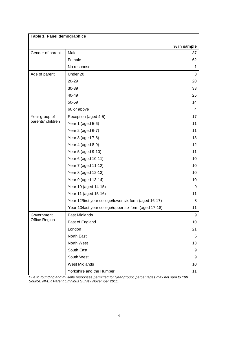| Table 1: Panel demographics |                                                        |             |
|-----------------------------|--------------------------------------------------------|-------------|
|                             |                                                        | % in sample |
| Gender of parent            | Male                                                   | 37          |
|                             | Female                                                 | 62          |
|                             | No response                                            | 1           |
| Age of parent               | Under 20                                               | 3           |
|                             | 20-29                                                  | 20          |
|                             | 30-39                                                  | 33          |
|                             | 40-49                                                  | 25          |
|                             | 50-59                                                  | 14          |
|                             | 60 or above                                            | 4           |
| Year group of               | Reception (aged 4-5)                                   | 17          |
| parents' children           | Year 1 (aged 5-6)                                      | 11          |
|                             | Year 2 (aged 6-7)                                      | 11          |
|                             | Year 3 (aged 7-8)                                      | 13          |
|                             | Year 4 (aged 8-9)                                      | 12          |
|                             | Year 5 (aged 9-10)                                     | 11          |
|                             | Year 6 (aged 10-11)                                    | 10          |
|                             | Year 7 (aged 11-12)                                    | 10          |
|                             | Year 8 (aged 12-13)                                    | 10          |
|                             | Year 9 (aged 13-14)                                    | 10          |
|                             | Year 10 (aged 14-15)                                   | 9           |
|                             | Year 11 (aged 15-16)                                   | 11          |
|                             | Year 12/first year college/lower six form (aged 16-17) | 8           |
|                             | Year 13/last year college/upper six form (aged 17-18)  | 11          |
| Government                  | <b>East Midlands</b>                                   | 9           |
| Office Region               | East of England                                        | 10          |
|                             | London                                                 | 21          |
|                             | North East                                             | 5           |
|                             | North West                                             | 13          |
|                             | South East                                             | 9           |
|                             | South West                                             | 9           |
|                             | <b>West Midlands</b>                                   | 10          |
|                             | Yorkshire and the Humber                               | 11          |

*Due to rounding and multiple responses permitted for 'year group', percentages may not sum to 100 Source: NFER Parent Omnibus Survey November 2011.*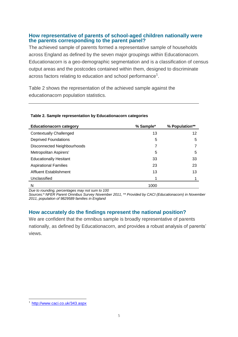#### <span id="page-4-0"></span>**How representative of parents of school-aged children nationally were the parents corresponding to the parent panel?**

The achieved sample of parents formed a representative sample of households across England as defined by the seven major groupings within Educationacorn. Educationacorn is a geo-demographic segmentation and is a classification of census output areas and the postcodes contained within them, designed to discriminate across factors relating to education and school performance $^{\rm 1}.$ 

Table 2 shows the representation of the achieved sample against the educationacorn population statistics.

| <b>Educationacorn category</b>     | % Sample* | % Population** |
|------------------------------------|-----------|----------------|
| <b>Contextually Challenged</b>     | 13        | 12             |
| <b>Deprived Foundations</b>        | 5         | 5              |
| <b>Disconnected Neighbourhoods</b> | 7         |                |
| Metropolitan Aspirers'             | 5         | 5              |
| <b>Educationally Hesitant</b>      | 33        | 33             |
| <b>Aspirational Families</b>       | 23        | 23             |
| <b>Affluent Establishment</b>      | 13        | 13             |
| Unclassified                       |           |                |
| N                                  | 1000      |                |

#### **Table 2. Sample representation by Educationacorn categories**

*Due to rounding, percentages may not sum to 100*

*Sources:\* NFER Parent Omnibus Survey November 2011, \*\* Provided by CACI (Educationacorn) in November 2011, population of 9829589 families in England*

#### <span id="page-4-1"></span>**How accurately do the findings represent the national position?**

<span id="page-4-2"></span>We are confident that the omnibus sample is broadly representative of parents nationally, as defined by Educationacorn, and provides a robust analysis of parents' views.

i<br>L

<sup>&</sup>lt;sup>1</sup> <http://www.caci.co.uk/343.aspx>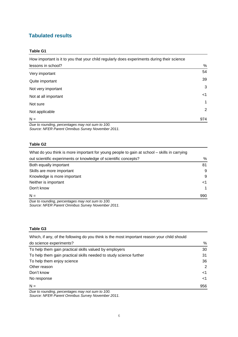### **Tabulated results**

#### **Table G1**

| How important is it to you that your child regularly does experiments during their science |             |
|--------------------------------------------------------------------------------------------|-------------|
| lessons in school?                                                                         | %           |
| Very important                                                                             | 54          |
| Quite important                                                                            | 39          |
| Not very important                                                                         | 3           |
| Not at all important                                                                       | $<$ 1       |
| Not sure                                                                                   | $\mathbf 1$ |
| Not applicable                                                                             | 2           |
| $N =$                                                                                      | 974         |
| Due to reunding perceptages mou not sum to 100                                             |             |

*Due to rounding, percentages may not sum to 100. Source: NFER Parent Omnibus Survey November 2011.*

#### **Table G2**

| What do you think is more important for young people to gain at school – skills in carrying |       |
|---------------------------------------------------------------------------------------------|-------|
| out scientific experiments or knowledge of scientific concepts?                             | %     |
| Both equally important                                                                      | 81    |
| Skills are more important                                                                   | 9     |
| Knowledge is more important                                                                 | 9     |
| Neither is important                                                                        | $<$ 1 |
| Don't know                                                                                  | 1     |
| $N =$                                                                                       | 990   |
|                                                                                             |       |

*Due to rounding, percentages may not sum to 100. Source: NFER Parent Omnibus Survey November 2011.*

#### **Table G3**

| %<br>do science experiments?<br>30<br>To help them gain practical skills valued by employers |
|----------------------------------------------------------------------------------------------|
|                                                                                              |
|                                                                                              |
| To help them gain practical skills needed to study science further<br>31                     |
| 36<br>To help them enjoy science                                                             |
| 2<br>Other reason                                                                            |
| Don't know<br><1                                                                             |
| No response<br>$<$ 1                                                                         |
| $N =$<br>956                                                                                 |

*Due to rounding, percentages may not sum to 100. Source: NFER Parent Omnibus Survey November 2011.*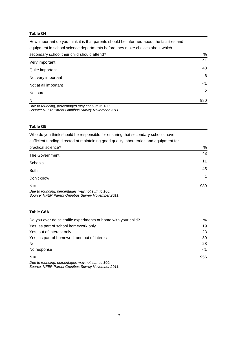#### **Table G4**

How important do you think it is that parents should be informed about the facilities and equipment in school science departments before they make choices about which secondary school their child should attend? We seek the state of the state of the state of the state of the state of the state of the state of the state of the state of the state of the state of the state of the state of t Very important <sup>44</sup> Quite important <sup>48</sup> Not very important 6 Not at all important  $\leq 1$ Not sure 2012 and 2012 and 2012 and 2012 and 2012 and 2012 and 2012 and 2012 and 2012 and 2012 and 2012 and 20<br> $\sim$  2013 and 2012 and 2012 and 2012 and 2012 and 2012 and 2012 and 2012 and 2012 and 2012 and 2012 and 2012 a  $N =$  980

*Due to rounding, percentages may not sum to 100. Source: NFER Parent Omnibus Survey November 2011.*

#### **Table G5**

Who do you think should be responsible for ensuring that secondary schools have sufficient funding directed at maintaining good quality laboratories and equipment for practical science? We will be a set of the set of the set of the set of the set of the set of the set of the set of the set of the set of the set of the set of the set of the set of the set of the set of the set of the set The Government 43 Schools <sup>11</sup> Both <sup>45</sup> Don't know <sup>1</sup>  $N =$  989

*Due to rounding, percentages may not sum to 100. Source: NFER Parent Omnibus Survey November 2011.*

#### **Table G6A**

| Do you ever do scientific experiments at home with your child? | %   |
|----------------------------------------------------------------|-----|
| Yes, as part of school homework only                           | 19  |
| Yes, out of interest only                                      | 23  |
| Yes, as part of homework and out of interest                   | 30  |
| No.                                                            | 28  |
| No response                                                    | ا>> |
| $N =$                                                          | 956 |

*Due to rounding, percentages may not sum to 100. Source: NFER Parent Omnibus Survey November 2011.*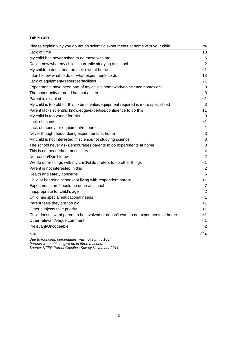#### **Table G6B**

| Please explain why you do not do scientific experiments at home with your child.   | $\%$           |
|------------------------------------------------------------------------------------|----------------|
| Lack of time                                                                       | 10             |
| My child has never asked to do these with me                                       | 5              |
| Don't know what my child is currently studying at school                           | $\overline{2}$ |
| My children does them on their own at home                                         | -1             |
| I don't know what to do or what experiments to do                                  | 13             |
| Lack of equipment/resources/facilities                                             | 21             |
| Experiments have been part of my child's homework/no science homework              | 8              |
| The opportunity or need has not arisen                                             | 3              |
| Parent is disabled                                                                 | <1             |
| My child is too old for this to be of value/equipment required is more specialised | 3              |
| Parent lacks scientific knowledge/expertise/confidence to do this                  | 11             |
| My child is too young for this                                                     | 8              |
| Lack of space                                                                      | -1             |
| Lack of money for equipment/resources                                              | 1              |
| Never thought about doing experiments at home                                      | 3              |
| My child is not interested in science/not studying science                         | 3              |
| The school never asks/encourages parents to do experiments at home                 | 3              |
| This is not needed/not necessary                                                   | 4              |
| No reason/Don't know                                                               | $\overline{2}$ |
| We do other things with my child/child prefers to do other things                  | $<$ 1          |
| Parent is not interested in this                                                   | 2              |
| Health and safety concerns                                                         | 5              |
| Child at boarding school/not living with respondent parent                         | $<$ 1          |
| Experiments are/should be done at school                                           | $\overline{7}$ |
| Inappropriate for child's age                                                      | $\overline{2}$ |
| Child has special educational needs                                                | -1             |
| Parent feels they are too old                                                      | <1             |
| Other subjects take priority                                                       | <1             |
| Child doesn't want parent to be involved or doesn't want to do experiments at home | <1             |
| Other relevant/vague comment                                                       | <1             |
| Irrelevant/Uncodeable                                                              | $\overline{2}$ |
| $N =$                                                                              | 324            |

*Due to rounding, percentages may not sum to 100.*

*Parents were able to give up to three reasons.*

*Source: NFER Parent Omnibus Survey November 2011.*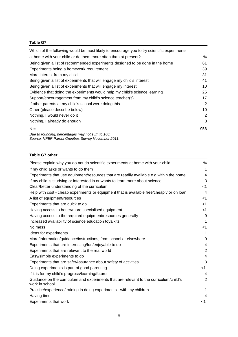#### **Table G7**

| Which of the following would be most likely to encourage you to try scientific experiments |     |
|--------------------------------------------------------------------------------------------|-----|
| at home with your child or do them more often than at present?                             | %   |
| Being given a list of recommended experiments designed to be done in the home              | 61  |
| Experiments being a homework requirement                                                   | 39  |
| More interest from my child                                                                | 31  |
| Being given a list of experiments that will engage my child's interest                     | 41  |
| Being given a list of experiments that will engage my interest                             | 10  |
| Evidence that doing the experiments would help my child's science learning                 | 25  |
| Support/encouragement from my child's science teacher(s)                                   | 17  |
| If other parents at my child's school were doing this                                      | 2   |
| Other (please describe below)                                                              | 10  |
| Nothing, I would never do it                                                               | 2   |
| Nothing, I already do enough                                                               | 3   |
| $N =$                                                                                      | 956 |
|                                                                                            |     |

*Due to rounding, percentages may not sum to 100. Source: NFER Parent Omnibus Survey November 2011.*

#### **Table G7 other**

| Please explain why you do not do scientific experiments at home with your child.                         | %              |
|----------------------------------------------------------------------------------------------------------|----------------|
| If my child asks or wants to do them                                                                     | 1              |
| Experiments that use equipment/resources that are readily available e.g within the home                  | 4              |
| If my child is studying or interested in or wants to learn more about science                            | 3              |
| Clear/better understanding of the curriculum                                                             | $<$ 1          |
| Help with cost - cheap experiments or equipment that is available free/cheaply or on loan                | 4              |
| A list of equipment/resources                                                                            | $<$ 1          |
| Experiments that are quick to do                                                                         | $<$ 1          |
| Having access to better/more specialised equipment                                                       | $<$ 1          |
| Having access to the required equipment/resources generally                                              | 9              |
| Increased availability of science education toys/kits                                                    | 1              |
| No mess                                                                                                  | -1             |
| Ideas for experiments                                                                                    | 1              |
| More/Information/guidance/instructions, from school or elsewhere                                         | 9              |
| Experiments that are interesting/fun/enjoyable to do                                                     | 4              |
| Experiments that are relevant to the real world                                                          | $\overline{2}$ |
| Easy/simple experiments to do                                                                            | 4              |
| Experiments that are safe/Assurance about safety of activities                                           | 3              |
| Doing experiments is part of good parenting                                                              | <1             |
| If it is for my child's progress/learning/future                                                         | 4              |
| Guidance on the curriculum and experiments that are relevant to the curriculum/child's<br>work in school | 2              |
| Practice/experience/training in doing experiments with my children                                       | 1              |
| Having time                                                                                              | 4              |
| <b>Experiments that work</b>                                                                             | -1             |